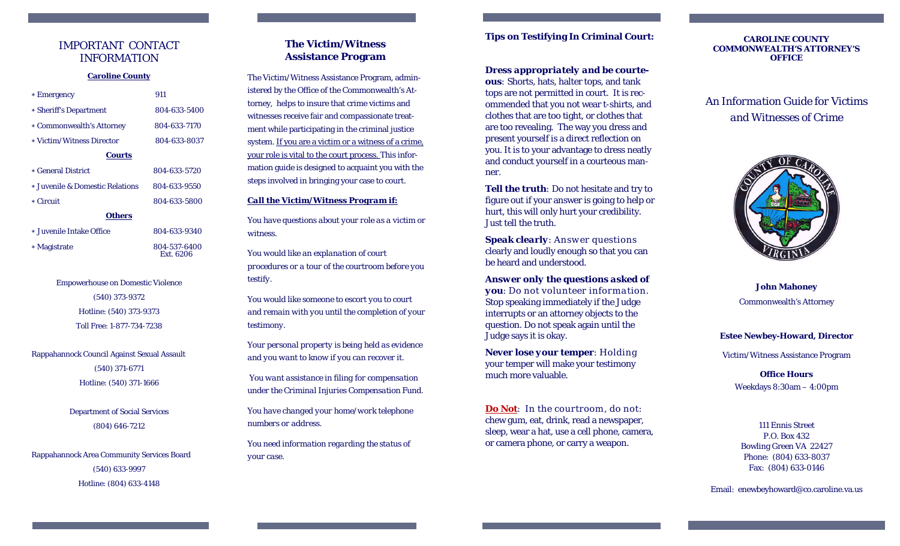### IMPORTANT CONTACT INFORMATION

#### **Caroline County**

| * Emergency                     | 911          |
|---------------------------------|--------------|
| * Sheriff's Department          | 804-633-5400 |
| * Commonwealth's Attorney       | 804-633-7170 |
| * Victim/Witness Director       | 804-633-8037 |
| <b>Courts</b>                   |              |
| * General District              | 804-633-5720 |
| * Juvenile & Domestic Relations | 804-633-9550 |
| * Circuit                       | 804-633-5800 |
| Others                          |              |
| $1 - T$ $1 - Q$                 | 001.000.0010 |

Juvenile Intake Office 804-633-9340

Magistrate 804-537-6400

# Empowerhouse on Domestic Violence (540) 373-9372 Hotline: (540) 373-9373 Toll Free: 1-877-734-7238

Ext. 6206

Rappahannock Council Against Sexual Assault

(540) 371-6771 Hotline: (540) 371-1666

Department of Social Services (804) 646-7212

Rappahannock Area Community Services Board (540) 633-9997 Hotline: (804) 633-4148

# **The Victim/Witness Assistance Program**

The Victim/Witness Assistance Program, administered by the Office of the Commonwealth's Attorney, helps to insure that crime victims and witnesses receive fair and compassionate treatment while participating in the criminal justice system. If you are a victim or a witness of a crime, your role is vital to the court process. This information guide is designed to acquaint you with the steps involved in bringing your case to court.

### *Call the Victim/Witness Program if:*

*You have questions about your role as a victim or witness.* 

*You would like an explanation of court procedures or a tour of the courtroom before you testify.* 

*You would like someone to escort you to court and remain with you until the completion of your testimony.* 

*Your personal property is being held as evidence and you want to know if you can recover it.* 

 *You want assistance in filing for compensation under the Criminal Injuries Compensation Fund.* 

*You have changed your home/work telephone numbers or address.* 

*You need information regarding the status of your case.*

## **Tips on Testifying In Criminal Court:**

### *Dress appropriately and be courte-*

*ous:* Shorts, hats, halter tops, and tank tops are not permitted in court. It is recommended that you not wear t-shirts, and clothes that are too tight, or clothes that are too revealing. The way you dress and present yourself is a direct reflection on you. It is to your advantage to dress neatly and conduct yourself in a courteous manner.

**Tell the truth**: Do not hesitate and try to figure out if your answer is going to help or hurt, this will only hurt your credibility. Just tell the truth.

*Speak clearly*: Answ er questions clearly and loudly enough so that you can be heard and understood.

*Answer only the questions asked of you*: Do not volunteer information. Stop speaking immediately if the Judge interrupts or an attorney objects to the question. Do not speak again until the Judge says it is okay.

*Never lose your temper*: Holding your temper will make your testimony much more valuable.

**Do Not**: In the courtroom, do not: chew gum, eat, drink, read a newspaper, sleep, wear a hat, use a cell phone, camera, or camera phone, or carry a weapon.

#### **CAROLINE COUNTY COMMONWEALTH'S ATTORNEY'S OFFICE**

*An Information Guide for Victims and Witnesses of Crime* 



**John Mahoney**  Commonwealth's Attorney

### **Estee Newbey-Howard, Director**

Victim/Witness Assistance Program

**Office Hours**Weekdays 8:30am – 4:00pm

111 Ennis Street P.O. Box 432 Bowling Green VA 22427 Phone: (804) 633-8037 Fax: (804) 633-0146

Email: enewbeyhoward@co.caroline.va.us